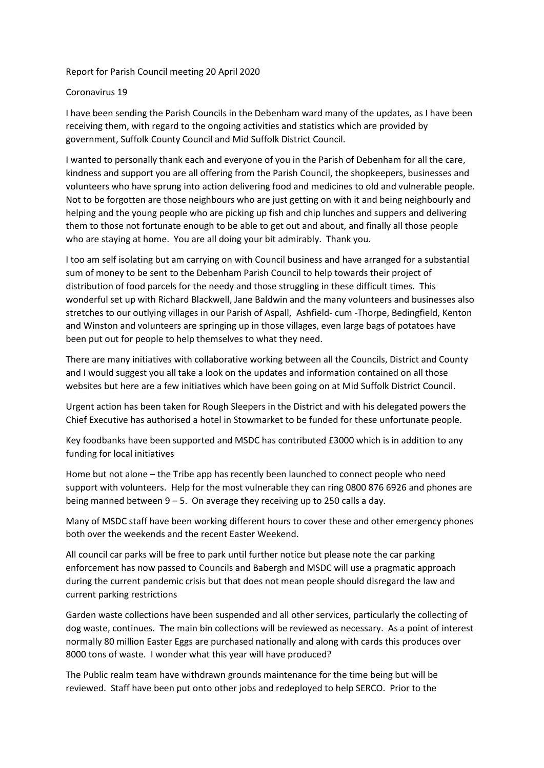## Report for Parish Council meeting 20 April 2020

## Coronavirus 19

I have been sending the Parish Councils in the Debenham ward many of the updates, as I have been receiving them, with regard to the ongoing activities and statistics which are provided by government, Suffolk County Council and Mid Suffolk District Council.

I wanted to personally thank each and everyone of you in the Parish of Debenham for all the care, kindness and support you are all offering from the Parish Council, the shopkeepers, businesses and volunteers who have sprung into action delivering food and medicines to old and vulnerable people. Not to be forgotten are those neighbours who are just getting on with it and being neighbourly and helping and the young people who are picking up fish and chip lunches and suppers and delivering them to those not fortunate enough to be able to get out and about, and finally all those people who are staying at home. You are all doing your bit admirably. Thank you.

I too am self isolating but am carrying on with Council business and have arranged for a substantial sum of money to be sent to the Debenham Parish Council to help towards their project of distribution of food parcels for the needy and those struggling in these difficult times. This wonderful set up with Richard Blackwell, Jane Baldwin and the many volunteers and businesses also stretches to our outlying villages in our Parish of Aspall, Ashfield- cum -Thorpe, Bedingfield, Kenton and Winston and volunteers are springing up in those villages, even large bags of potatoes have been put out for people to help themselves to what they need.

There are many initiatives with collaborative working between all the Councils, District and County and I would suggest you all take a look on the updates and information contained on all those websites but here are a few initiatives which have been going on at Mid Suffolk District Council.

Urgent action has been taken for Rough Sleepers in the District and with his delegated powers the Chief Executive has authorised a hotel in Stowmarket to be funded for these unfortunate people.

Key foodbanks have been supported and MSDC has contributed £3000 which is in addition to any funding for local initiatives

Home but not alone – the Tribe app has recently been launched to connect people who need support with volunteers. Help for the most vulnerable they can ring 0800 876 6926 and phones are being manned between  $9 - 5$ . On average they receiving up to 250 calls a day.

Many of MSDC staff have been working different hours to cover these and other emergency phones both over the weekends and the recent Easter Weekend.

All council car parks will be free to park until further notice but please note the car parking enforcement has now passed to Councils and Babergh and MSDC will use a pragmatic approach during the current pandemic crisis but that does not mean people should disregard the law and current parking restrictions

Garden waste collections have been suspended and all other services, particularly the collecting of dog waste, continues. The main bin collections will be reviewed as necessary. As a point of interest normally 80 million Easter Eggs are purchased nationally and along with cards this produces over 8000 tons of waste. I wonder what this year will have produced?

The Public realm team have withdrawn grounds maintenance for the time being but will be reviewed. Staff have been put onto other jobs and redeployed to help SERCO. Prior to the